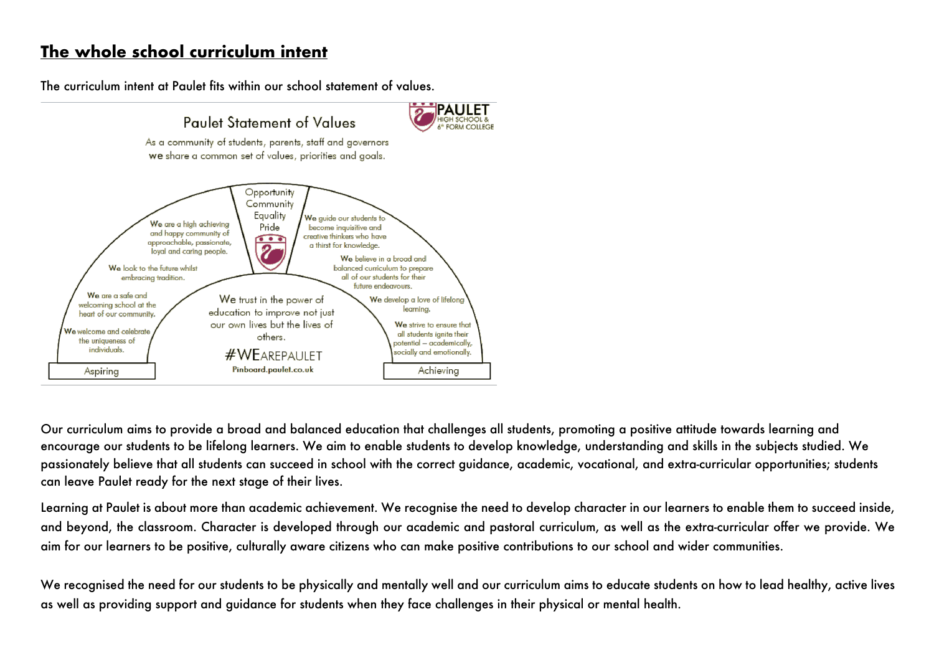# **The whole school curriculum intent**

The curriculum intent at Paulet fits within our school statement of values.



Our curriculum aims to provide a broad and balanced education that challenges all students, promoting a positive attitude towards learning and encourage our students to be lifelong learners. We aim to enable students to develop knowledge, understanding and skills in the subjects studied. We passionately believe that all students can succeed in school with the correct guidance, academic, vocational, and extra-curricular opportunities; students can leave Paulet ready for the next stage of their lives.

Learning at Paulet is about more than academic achievement. We recognise the need to develop character in our learners to enable them to succeed inside, and beyond, the classroom. Character is developed through our academic and pastoral curriculum, as well as the extra-curricular offer we provide. We aim for our learners to be positive, culturally aware citizens who can make positive contributions to our school and wider communities.

We recognised the need for our students to be physically and mentally well and our curriculum aims to educate students on how to lead healthy, active lives as well as providing support and guidance for students when they face challenges in their physical or mental health.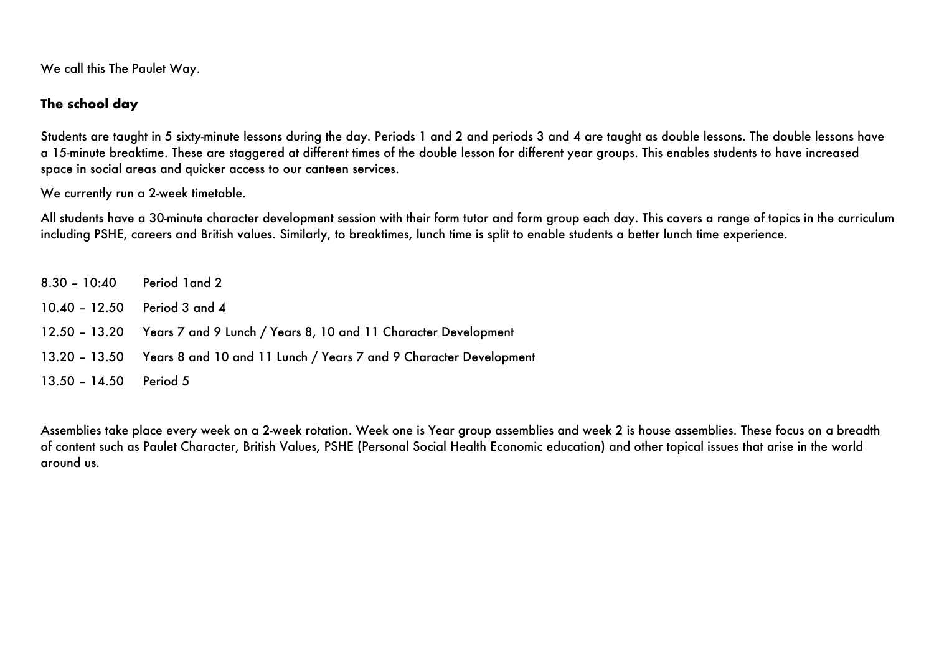We call this The Paulet Way.

#### **The school day**

Students are taught in 5 sixty-minute lessons during the day. Periods 1 and 2 and periods 3 and 4 are taught as double lessons. The double lessons have a 15-minute breaktime. These are staggered at different times of the double lesson for different year groups. This enables students to have increased space in social areas and quicker access to our canteen services.

We currently run a 2-week timetable.

All students have a 30-minute character development session with their form tutor and form group each day. This covers a range of topics in the curriculum including PSHE, careers and British values. Similarly, to breaktimes, lunch time is split to enable students a better lunch time experience.

8.30 – 10:40 Period 1and 2 10.40 – 12.50 Period 3 and 4 12.50 – 13.20 Years 7 and 9 Lunch / Years 8, 10 and 11 Character Development 13.20 – 13.50 Years 8 and 10 and 11 Lunch / Years 7 and 9 Character Development 13.50 – 14.50 Period 5

Assemblies take place every week on a 2-week rotation. Week one is Year group assemblies and week 2 is house assemblies. These focus on a breadth of content such as Paulet Character, British Values, PSHE (Personal Social Health Economic education) and other topical issues that arise in the world around us.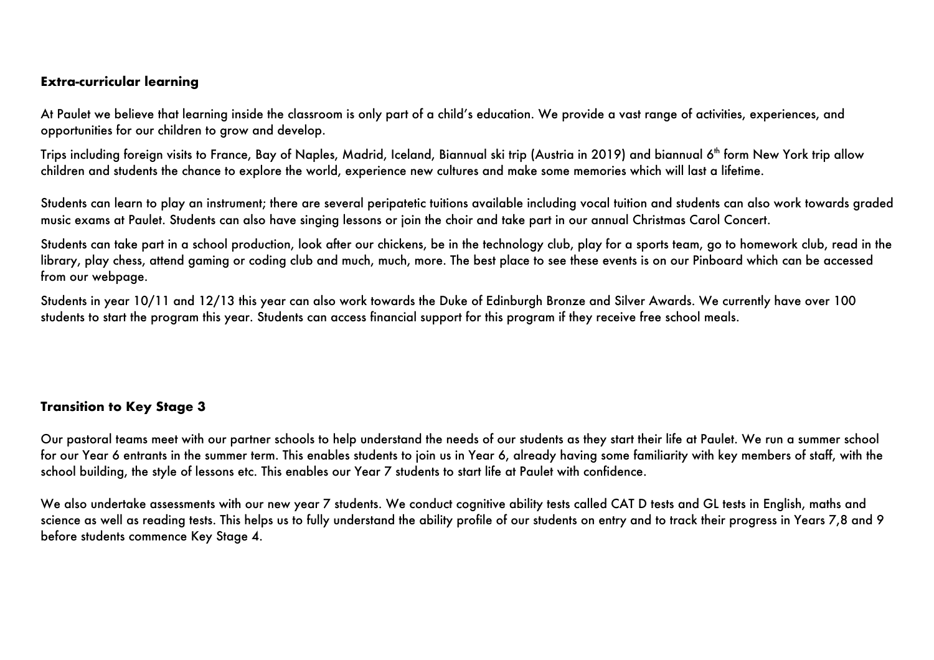#### **Extra-curricular learning**

At Paulet we believe that learning inside the classroom is only part of a child's education. We provide a vast range of activities, experiences, and opportunities for our children to grow and develop.

Trips including foreign visits to France, Bay of Naples, Madrid, Iceland, Biannual ski trip (Austria in 2019) and biannual 6<sup>th</sup> form New York trip allow children and students the chance to explore the world, experience new cultures and make some memories which will last a lifetime.

Students can learn to play an instrument; there are several peripatetic tuitions available including vocal tuition and students can also work towards graded music exams at Paulet. Students can also have singing lessons or join the choir and take part in our annual Christmas Carol Concert.

Students can take part in a school production, look after our chickens, be in the technology club, play for a sports team, go to homework club, read in the library, play chess, attend gaming or coding club and much, much, more. The best place to see these events is on our Pinboard which can be accessed from our webpage.

Students in year 10/11 and 12/13 this year can also work towards the Duke of Edinburgh Bronze and Silver Awards. We currently have over 100 students to start the program this year. Students can access financial support for this program if they receive free school meals.

#### **Transition to Key Stage 3**

Our pastoral teams meet with our partner schools to help understand the needs of our students as they start their life at Paulet. We run a summer school for our Year 6 entrants in the summer term. This enables students to join us in Year 6, already having some familiarity with key members of staff, with the school building, the style of lessons etc. This enables our Year 7 students to start life at Paulet with confidence.

We also undertake assessments with our new year 7 students. We conduct cognitive ability tests called CAT D tests and GL tests in English, maths and science as well as reading tests. This helps us to fully understand the ability profile of our students on entry and to track their progress in Years 7,8 and 9 before students commence Key Stage 4.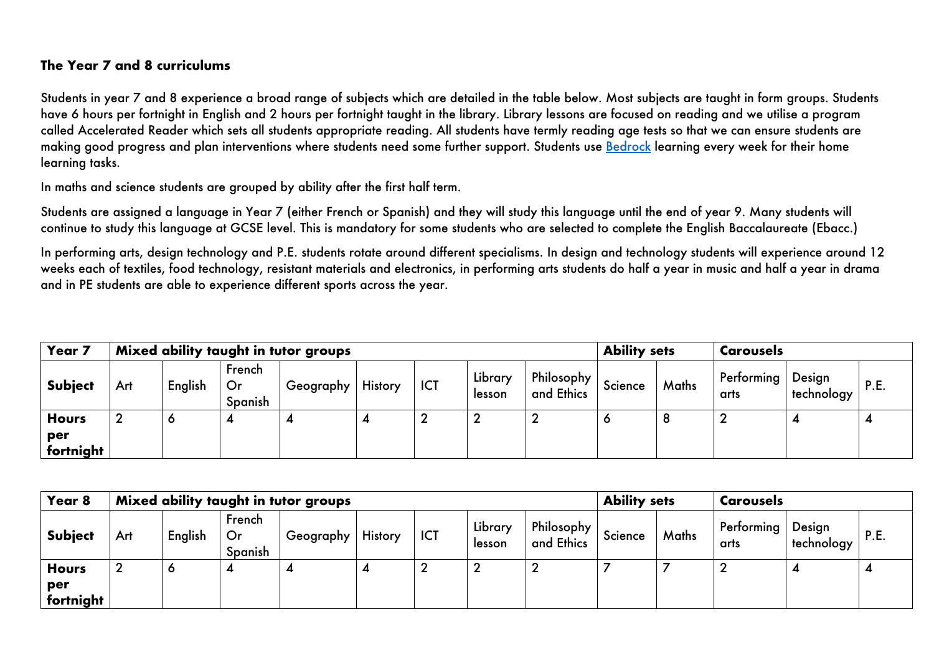# **The Year 7 and 8 curriculums**

Students in year 7 and 8 experience a broad range of subjects which are detailed in the table below. Most subjects are taught in form groups. Students have 6 hours per fortnight in English and 2 hours per fortnight taught in the library. Library lessons are focused on reading and we utilise a program called Accelerated Reader which sets all students appropriate reading. All students have termly reading age tests so that we can ensure students are making good progress and plan interventions where students need some further support. Students use Bedrock learning every week for their home learning tasks.

In maths and science students are grouped by ability after the first half term.

Students are assigned a language in Year 7 (either French or Spanish) and they will study this language until the end of year 9. Many students will continue to study this language at GCSE level. This is mandatory for some students who are selected to complete the English Baccalaureate (Ebacc.)

In performing arts, design technology and P.E. students rotate around different specialisms. In design and technology students will experience around 12 weeks each of textiles, food technology, resistant materials and electronics, in performing arts students do half a year in music and half a year in drama and in PE students are able to experience different sports across the year.

| Year 7                           |     |         |                         | Mixed ability taught in tutor groups | <b>Ability sets</b> |     | <b>Carousels</b>  |                          |         |       |                    |                      |             |
|----------------------------------|-----|---------|-------------------------|--------------------------------------|---------------------|-----|-------------------|--------------------------|---------|-------|--------------------|----------------------|-------------|
| <b>Subject</b>                   | Art | English | French<br>Or<br>Spanish | ⊢Geography I                         | <b>History</b>      | ICT | Library<br>lesson | Philosophy<br>and Ethics | Science | Maths | Performing<br>arts | Design<br>technology | <b>P.E.</b> |
| <b>Hours</b><br>per<br>fortnight |     | J       | 4                       |                                      |                     |     |                   | ▴                        |         |       |                    |                      |             |

| Year 8                           |                  |         |                         | Mixed ability taught in tutor groups | <b>Ability sets</b> |            | <b>Carousels</b>  |                            |         |       |                    |                      |      |
|----------------------------------|------------------|---------|-------------------------|--------------------------------------|---------------------|------------|-------------------|----------------------------|---------|-------|--------------------|----------------------|------|
| <b>Subject</b>                   | Art              | English | French<br>Or<br>Spanish | ⊢Geography <sup>i</sup>              | <b>History</b>      | <b>ICT</b> | Library<br>lesson | Philosophy  <br>and Ethics | Science | Maths | Performing<br>arts | Design<br>technology | P.E. |
| <b>Hours</b><br>per<br>fortnight | $\boldsymbol{2}$ | O       | 4                       |                                      |                     |            | ◠                 | ◠<br>∼                     |         |       |                    |                      |      |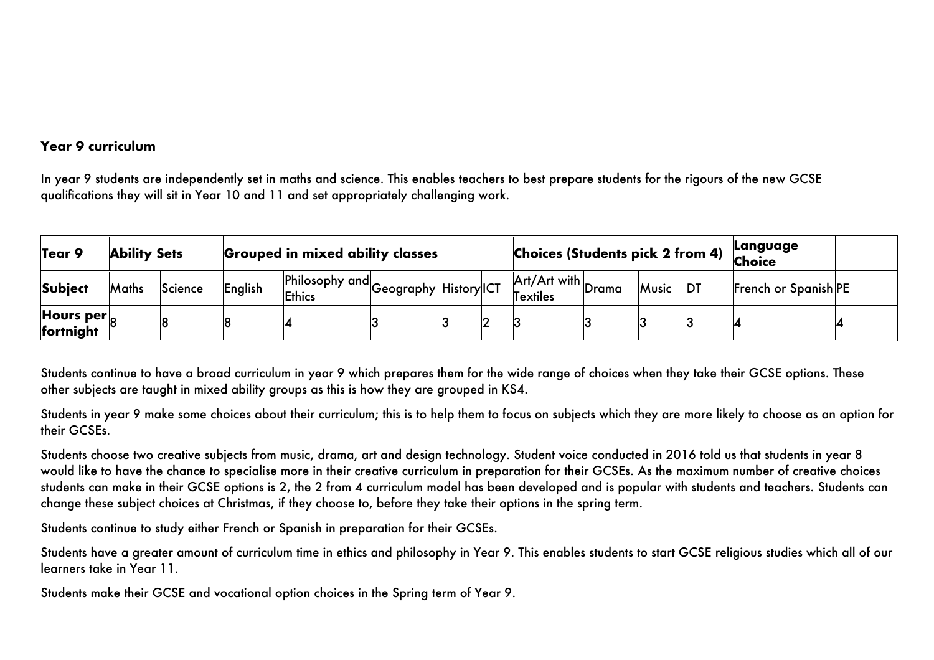#### **Year 9 curriculum**

In year 9 students are independently set in maths and science. This enables teachers to best prepare students for the rigours of the new GCSE qualifications they will sit in Year 10 and 11 and set appropriately challenging work.

| Tear 9                                  | <b>Ability Sets</b> |         |         | <b>Grouped in mixed ability classes</b>           |  |  |  |                                                                      | Language<br><b>Choices (Students pick 2 from 4)</b><br><b>Choice</b> |       |    |                      |  |
|-----------------------------------------|---------------------|---------|---------|---------------------------------------------------|--|--|--|----------------------------------------------------------------------|----------------------------------------------------------------------|-------|----|----------------------|--|
| <b>Subject</b>                          | Maths               | Science | English | en Philosophy and Geography History ICT<br>Ethics |  |  |  | $\mathsf{Art}/\mathsf{Art}$ with $\mathsf{Drama}$<br><b>Textiles</b> |                                                                      | Music | DT | French or Spanish PE |  |
| Hours per $\vert_{\alpha}$<br>fortnight |                     | 8       |         |                                                   |  |  |  |                                                                      |                                                                      |       |    |                      |  |

Students continue to have a broad curriculum in year 9 which prepares them for the wide range of choices when they take their GCSE options. These other subjects are taught in mixed ability groups as this is how they are grouped in KS4.

Students in year 9 make some choices about their curriculum; this is to help them to focus on subjects which they are more likely to choose as an option for their GCSEs.

Students choose two creative subjects from music, drama, art and design technology. Student voice conducted in 2016 told us that students in year 8 would like to have the chance to specialise more in their creative curriculum in preparation for their GCSEs. As the maximum number of creative choices students can make in their GCSE options is 2, the 2 from 4 curriculum model has been developed and is popular with students and teachers. Students can change these subject choices at Christmas, if they choose to, before they take their options in the spring term.

Students continue to study either French or Spanish in preparation for their GCSEs.

Students have a greater amount of curriculum time in ethics and philosophy in Year 9. This enables students to start GCSE religious studies which all of our learners take in Year 11.

Students make their GCSE and vocational option choices in the Spring term of Year 9.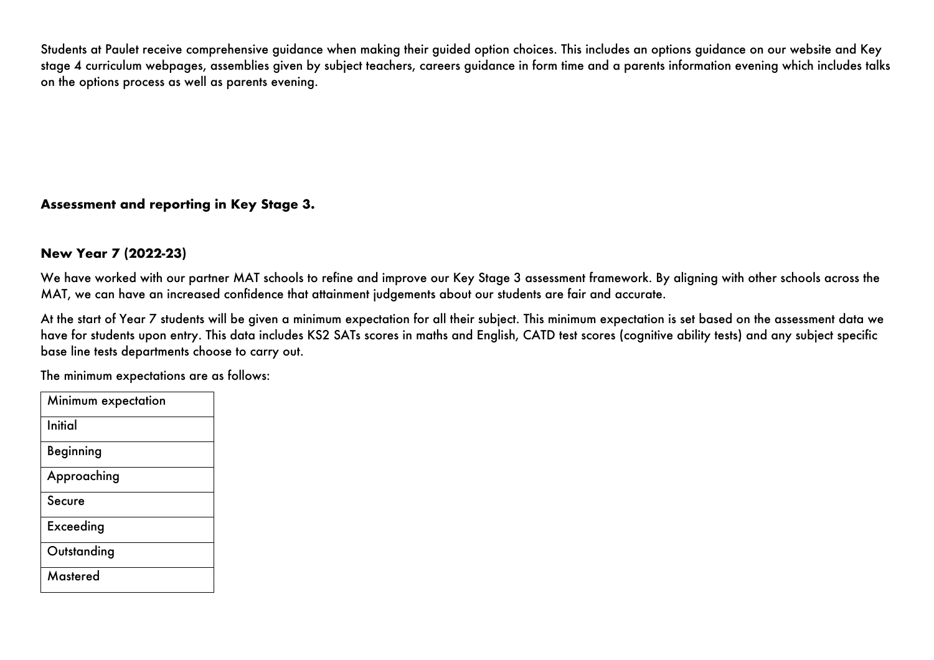Students at Paulet receive comprehensive guidance when making their guided option choices. This includes an options guidance on our website and Key stage 4 curriculum webpages, assemblies given by subject teachers, careers guidance in form time and a parents information evening which includes talks on the options process as well as parents evening.

## **Assessment and reporting in Key Stage 3.**

#### **New Year 7 (2022-23)**

We have worked with our partner MAT schools to refine and improve our Key Stage 3 assessment framework. By aligning with other schools across the MAT, we can have an increased confidence that attainment judgements about our students are fair and accurate.

At the start of Year 7 students will be given a minimum expectation for all their subject. This minimum expectation is set based on the assessment data we have for students upon entry. This data includes KS2 SATs scores in maths and English, CATD test scores (cognitive ability tests) and any subject specific base line tests departments choose to carry out.

The minimum expectations are as follows:

| Minimum expectation |
|---------------------|
| Initial             |
| Beginning           |
| Approaching         |
| <b>Secure</b>       |
| Exceeding           |
| Outstanding         |
| Mastered            |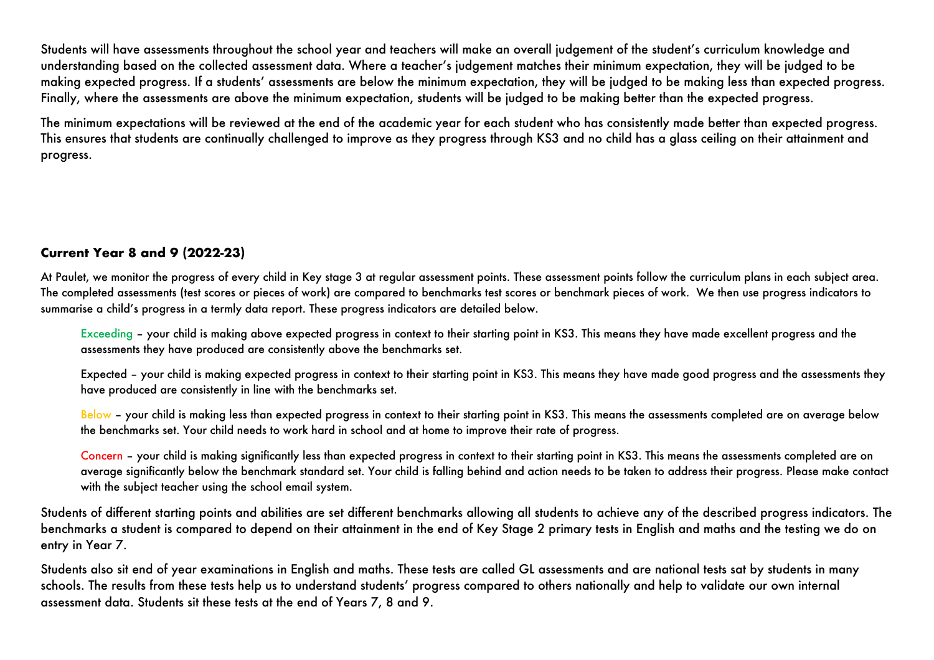Students will have assessments throughout the school year and teachers will make an overall judgement of the student's curriculum knowledge and understanding based on the collected assessment data. Where a teacher's judgement matches their minimum expectation, they will be judged to be making expected progress. If a students' assessments are below the minimum expectation, they will be judged to be making less than expected progress. Finally, where the assessments are above the minimum expectation, students will be judged to be making better than the expected progress.

The minimum expectations will be reviewed at the end of the academic year for each student who has consistently made better than expected progress. This ensures that students are continually challenged to improve as they progress through KS3 and no child has a glass ceiling on their attainment and progress.

## **Current Year 8 and 9 (2022-23)**

At Paulet, we monitor the progress of every child in Key stage 3 at regular assessment points. These assessment points follow the curriculum plans in each subject area. The completed assessments (test scores or pieces of work) are compared to benchmarks test scores or benchmark pieces of work. We then use progress indicators to summarise a child's progress in a termly data report. These progress indicators are detailed below.

Exceeding – your child is making above expected progress in context to their starting point in KS3. This means they have made excellent progress and the assessments they have produced are consistently above the benchmarks set.

Expected – your child is making expected progress in context to their starting point in KS3. This means they have made good progress and the assessments they have produced are consistently in line with the benchmarks set.

Below - your child is making less than expected progress in context to their starting point in KS3. This means the assessments completed are on average below the benchmarks set. Your child needs to work hard in school and at home to improve their rate of progress.

Concern – your child is making significantly less than expected progress in context to their starting point in KS3. This means the assessments completed are on average significantly below the benchmark standard set. Your child is falling behind and action needs to be taken to address their progress. Please make contact with the subject teacher using the school email system.

Students of different starting points and abilities are set different benchmarks allowing all students to achieve any of the described progress indicators. The benchmarks a student is compared to depend on their attainment in the end of Key Stage 2 primary tests in English and maths and the testing we do on entry in Year 7.

Students also sit end of year examinations in English and maths. These tests are called GL assessments and are national tests sat by students in many schools. The results from these tests help us to understand students' progress compared to others nationally and help to validate our own internal assessment data. Students sit these tests at the end of Years 7, 8 and 9.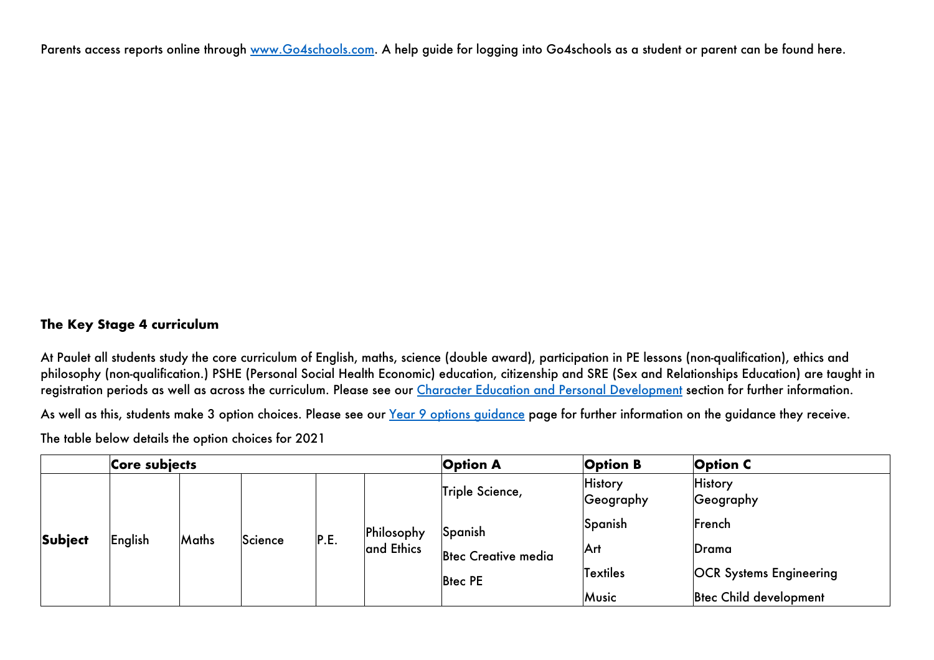Parents access reports online through www.Go4schools.com. A help guide for logging into Go4schools as a student or parent can be found here.

## **The Key Stage 4 curriculum**

At Paulet all students study the core curriculum of English, maths, science (double award), participation in PE lessons (non-qualification), ethics and philosophy (non-qualification.) PSHE (Personal Social Health Economic) education, citizenship and SRE (Sex and Relationships Education) are taught in registration periods as well as across the curriculum. Please see our Character Education and Personal Development section for further information.

As well as this, students make 3 option choices. Please see our Year 9 options quidance page for further information on the guidance they receive.

The table below details the option choices for 2021

|                | Core subjects |              |         |      |                          | <b>Option A</b>            | <b>Option B</b>             | <b>Option C</b>                |
|----------------|---------------|--------------|---------|------|--------------------------|----------------------------|-----------------------------|--------------------------------|
| <b>Subject</b> |               |              |         | P.E. | Philosophy<br>and Ethics | Triple Science,            | <b>History</b><br>Geography | <b>History</b><br>Geography    |
|                |               |              |         |      |                          | Spanish                    | Spanish                     | French                         |
|                | English       | <b>Maths</b> | Science |      |                          | <b>Btec Creative media</b> | Arl                         | Drama                          |
|                |               |              |         |      |                          | <b>Biec PE</b>             | <b>Textiles</b>             | <b>OCR Systems Engineering</b> |
|                |               |              |         |      |                          |                            | Music                       | <b>Brec Child development</b>  |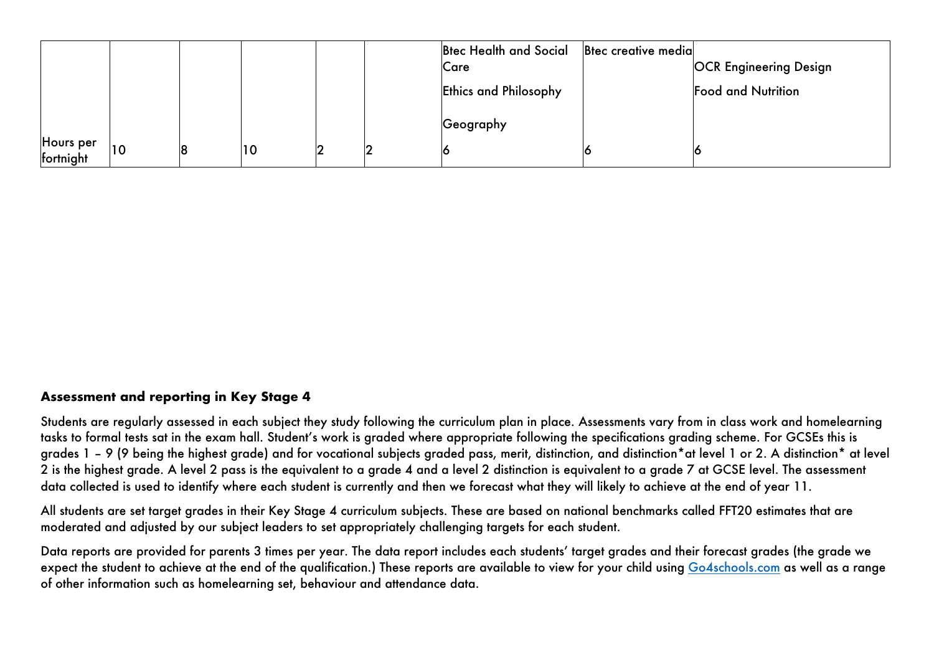|                        |  |           |   | Btec Health and Social<br>Care | <b>B</b> tec creative media | <b>OCR Engineering Design</b> |
|------------------------|--|-----------|---|--------------------------------|-----------------------------|-------------------------------|
|                        |  |           |   | <b>Ethics and Philosophy</b>   |                             | <b>Food and Nutrition</b>     |
|                        |  |           |   | Geography                      |                             |                               |
| Hours per<br>fortnight |  | <b>10</b> | 2 |                                |                             |                               |

#### **Assessment and reporting in Key Stage 4**

Students are regularly assessed in each subject they study following the curriculum plan in place. Assessments vary from in class work and homelearning tasks to formal tests sat in the exam hall. Student's work is graded where appropriate following the specifications grading scheme. For GCSEs this is grades 1 – 9 (9 being the highest grade) and for vocational subjects graded pass, merit, distinction, and distinction\*at level 1 or 2. A distinction\* at level 2 is the highest grade. A level 2 pass is the equivalent to a grade 4 and a level 2 distinction is equivalent to a grade 7 at GCSE level. The assessment data collected is used to identify where each student is currently and then we forecast what they will likely to achieve at the end of year 11.

All students are set target grades in their Key Stage 4 curriculum subjects. These are based on national benchmarks called FFT20 estimates that are moderated and adjusted by our subject leaders to set appropriately challenging targets for each student.

Data reports are provided for parents 3 times per year. The data report includes each students' target grades and their forecast grades (the grade we expect the student to achieve at the end of the qualification.) These reports are available to view for your child using Go4schools.com as well as a range of other information such as homelearning set, behaviour and attendance data.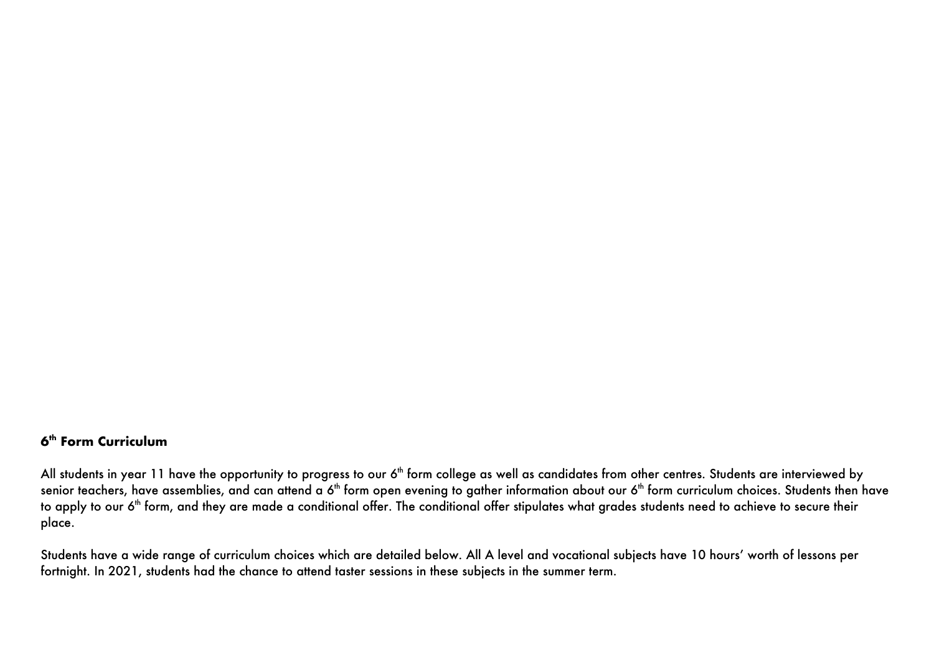#### **6th Form Curriculum**

All students in year 11 have the opportunity to progress to our 6<sup>th</sup> form college as well as candidates from other centres. Students are interviewed by senior teachers, have assemblies, and can attend a 6<sup>th</sup> form open evening to gather information about our 6<sup>th</sup> form curriculum choices. Students then have to apply to our 6<sup>th</sup> form, and they are made a conditional offer. The conditional offer stipulates what grades students need to achieve to secure their place.

Students have a wide range of curriculum choices which are detailed below. All A level and vocational subjects have 10 hours' worth of lessons per fortnight. In 2021, students had the chance to attend taster sessions in these subjects in the summer term.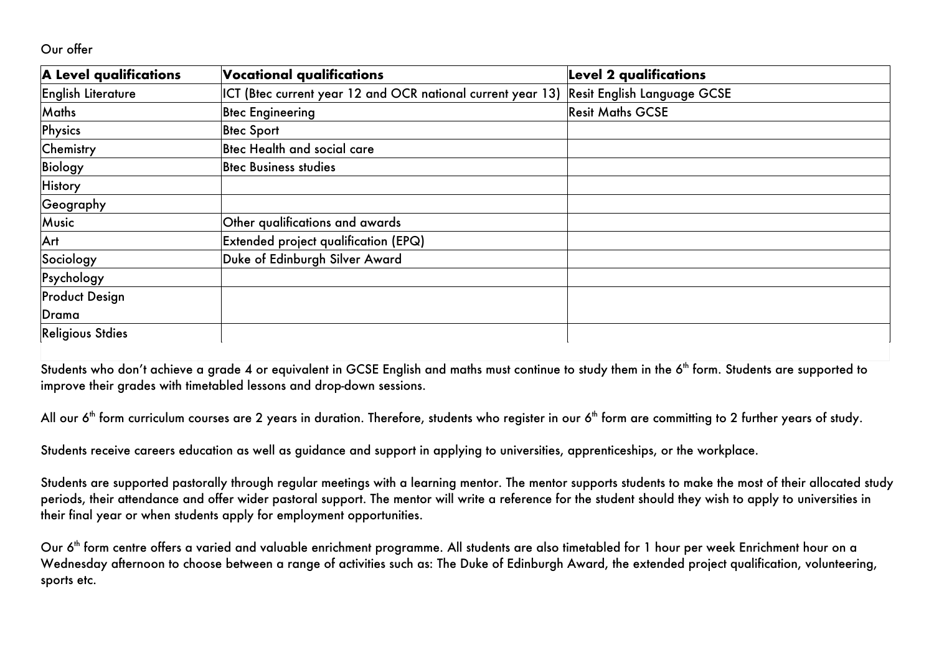#### Our offer

| A Level qualifications  | Vocational qualifications                                   | <b>Level 2 qualifications</b> |
|-------------------------|-------------------------------------------------------------|-------------------------------|
| English Literature      | ICT (Btec current year 12 and OCR national current year 13) | Resit English Language GCSE   |
| Maths                   | <b>Blec Engineering</b>                                     | <b>Resit Maths GCSE</b>       |
| Physics                 | <b>Blec Sport</b>                                           |                               |
| Chemistry               | Btec Health and social care                                 |                               |
| <b>Biology</b>          | <b>B</b> tec Business studies                               |                               |
| <b>History</b>          |                                                             |                               |
| Geography               |                                                             |                               |
| Music                   | Other qualifications and awards                             |                               |
| Art                     | Extended project qualification (EPQ)                        |                               |
| Sociology               | Duke of Edinburgh Silver Award                              |                               |
| Psychology              |                                                             |                               |
| <b>Product Design</b>   |                                                             |                               |
| Drama                   |                                                             |                               |
| <b>Religious Stdies</b> |                                                             |                               |

Students who don't achieve a grade 4 or equivalent in GCSE English and maths must continue to study them in the 6<sup>th</sup> form. Students are supported to improve their grades with timetabled lessons and drop-down sessions.

All our  $6<sup>th</sup>$  form curriculum courses are 2 years in duration. Therefore, students who register in our  $6<sup>th</sup>$  form are committing to 2 further years of study.

Students receive careers education as well as guidance and support in applying to universities, apprenticeships, or the workplace.

Students are supported pastorally through regular meetings with a learning mentor. The mentor supports students to make the most of their allocated study periods, their attendance and offer wider pastoral support. The mentor will write a reference for the student should they wish to apply to universities in their final year or when students apply for employment opportunities.

Our 6<sup>th</sup> form centre offers a varied and valuable enrichment programme. All students are also timetabled for 1 hour per week Enrichment hour on a Wednesday afternoon to choose between a range of activities such as: The Duke of Edinburgh Award, the extended project qualification, volunteering, sports etc.